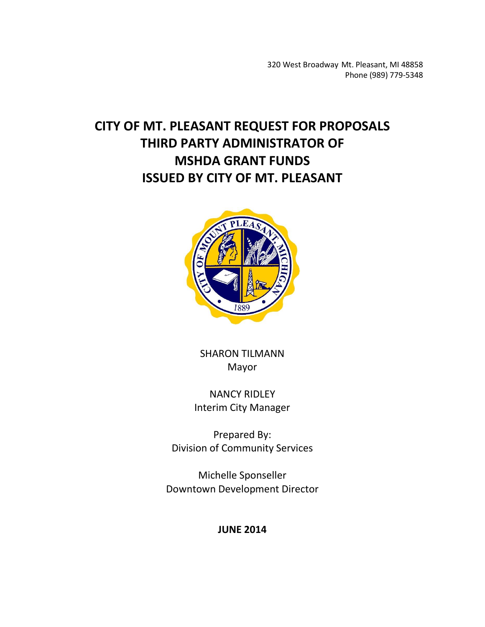320 West Broadway Mt. Pleasant, MI 48858 Phone (989) 779-5348

# **CITY OF MT. PLEASANT REQUEST FOR PROPOSALS THIRD PARTY ADMINISTRATOR OF MSHDA GRANT FUNDS ISSUED BY CITY OF MT. PLEASANT**



SHARON TILMANN Mayor

NANCY RIDLEY Interim City Manager

Prepared By: Division of Community Services

Michelle Sponseller Downtown Development Director

**JUNE 2014**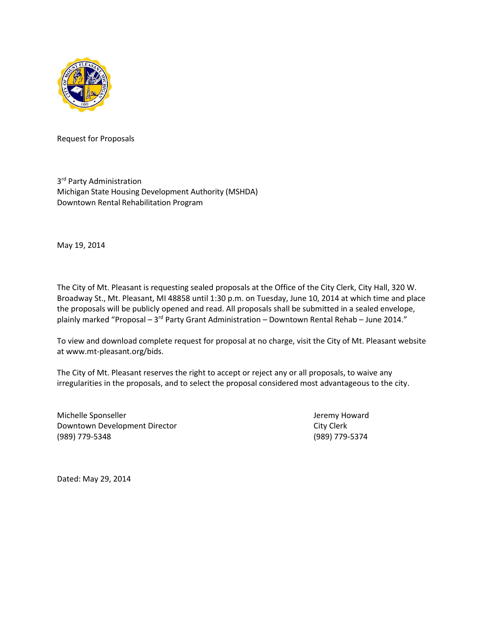

Request for Proposals

3<sup>rd</sup> Party Administration Michigan State Housing Development Authority (MSHDA) Downtown Rental Rehabilitation Program

May 19, 2014

The City of Mt. Pleasant is requesting sealed proposals at the Office of the City Clerk, City Hall, 320 W. Broadway St., Mt. Pleasant, MI 48858 until 1:30 p.m. on Tuesday, June 10, 2014 at which time and place the proposals will be publicly opened and read. All proposals shall be submitted in a sealed envelope, plainly marked "Proposal – 3<sup>rd</sup> Party Grant Administration – Downtown Rental Rehab – June 2014."

To view and download complete request for proposal at no charge, visit the City of Mt. Pleasant website at www.mt-pleasant.org/bids.

The City of Mt. Pleasant reserves the right to accept or reject any or all proposals, to waive any irregularities in the proposals, and to select the proposal considered most advantageous to the city.

Michelle Sponseller and Teremy Howard Jeremy Howard Downtown Development Director City Clerk (989) 779-5348 (989) 779-5374

Dated: May 29, 2014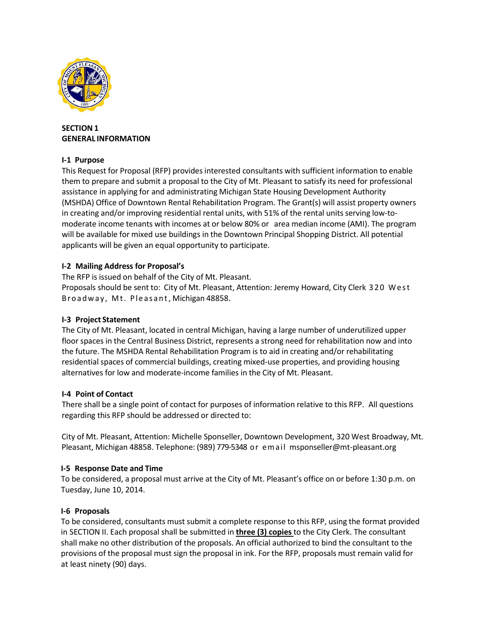

# **SECTION 1 GENERAL INFORMATION**

# **I-1 Purpose**

This Request for Proposal (RFP) providesinterested consultants with sufficient information to enable them to prepare and submit a proposal to the City of Mt. Pleasant to satisfy its need for professional assistance in applying for and administrating Michigan State Housing Development Authority (MSHDA) Office of Downtown Rental Rehabilitation Program. The Grant(s) will assist property owners in creating and/or improving residential rental units, with 51% of the rental units serving low-tomoderate income tenants with incomes at or below 80% or area median income (AMI). The program will be available for mixed use buildings in the Downtown Principal Shopping District. All potential applicants will be given an equal opportunity to participate.

# **I-2 Mailing Address for Proposal's**

The RFP is issued on behalf of the City of Mt. Pleasant. Proposals should be sent to: City of Mt. Pleasant, Attention: Jeremy Howard, City Clerk 320 West Broadway, Mt. Pleasant, Michigan 48858.

# **I-3 Project Statement**

The City of Mt. Pleasant, located in central Michigan, having a large number of underutilized upper floor spaces in the Central Business District, represents a strong need for rehabilitation now and into the future. The MSHDA Rental Rehabilitation Program is to aid in creating and/or rehabilitating residential spaces of commercial buildings, creating mixed-use properties, and providing housing alternatives for low and moderate-income families in the City of Mt. Pleasant.

## **I-4 Point of Contact**

There shall be a single point of contact for purposes of information relative to this RFP. All questions regarding this RFP should be addressed or directed to:

City of Mt. Pleasant, Attention: Michelle Sponseller, Downtown Development, 320 West Broadway, Mt. Pleasant, Michigan 48858. Telephone: (989) 779-5348 or email msponseller@mt-pleasant.org

## **I-5 Response Date and Time**

To be considered, a proposal must arrive at the City of Mt. Pleasant's office on or before 1:30 p.m. on Tuesday, June 10, 2014.

## **I-6 Proposals**

To be considered, consultants must submit a complete response to this RFP, using the format provided in SECTION II. Each proposal shall be submitted in **three (3) copies** to the City Clerk. The consultant shall make no other distribution of the proposals. An official authorized to bind the consultant to the provisions of the proposal must sign the proposal in ink. For the RFP, proposals must remain valid for at least ninety (90) days.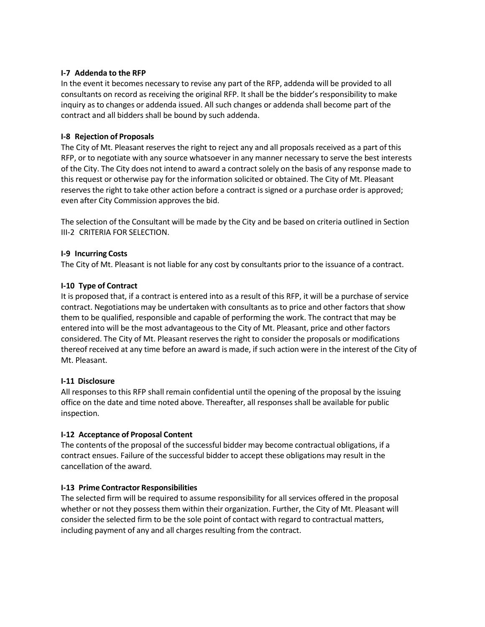## **I-7 Addenda to the RFP**

In the event it becomes necessary to revise any part of the RFP, addenda will be provided to all consultants on record as receiving the original RFP. It shall be the bidder's responsibility to make inquiry as to changes or addenda issued. All such changes or addenda shall become part of the contract and all bidders shall be bound by such addenda.

#### **I-8 Rejection of Proposals**

The City of Mt. Pleasant reserves the right to reject any and all proposals received as a part of this RFP, or to negotiate with any source whatsoever in any manner necessary to serve the best interests of the City. The City does not intend to award a contract solely on the basis of any response made to this request or otherwise pay for the information solicited or obtained. The City of Mt. Pleasant reserves the right to take other action before a contract is signed or a purchase order is approved; even after City Commission approves the bid.

The selection of the Consultant will be made by the City and be based on criteria outlined in Section III-2 CRITERIA FOR SELECTION.

#### **I-9 Incurring Costs**

The City of Mt. Pleasant is not liable for any cost by consultants prior to the issuance of a contract.

#### **I-10 Type of Contract**

It is proposed that, if a contract is entered into as a result of this RFP, it will be a purchase of service contract. Negotiations may be undertaken with consultants as to price and other factors that show them to be qualified, responsible and capable of performing the work. The contract that may be entered into will be the most advantageous to the City of Mt. Pleasant, price and other factors considered. The City of Mt. Pleasant reserves the right to consider the proposals or modifications thereof received at any time before an award is made, if such action were in the interest of the City of Mt. Pleasant.

## **I-11 Disclosure**

All responses to this RFP shall remain confidential until the opening of the proposal by the issuing office on the date and time noted above. Thereafter, all responses shall be available for public inspection.

## **I-12 Acceptance of Proposal Content**

The contents of the proposal of the successful bidder may become contractual obligations, if a contract ensues. Failure of the successful bidder to accept these obligations may result in the cancellation of the award.

## **I-13 Prime Contractor Responsibilities**

The selected firm will be required to assume responsibility for all services offered in the proposal whether or not they possess them within their organization. Further, the City of Mt. Pleasant will consider the selected firm to be the sole point of contact with regard to contractual matters, including payment of any and all charges resulting from the contract.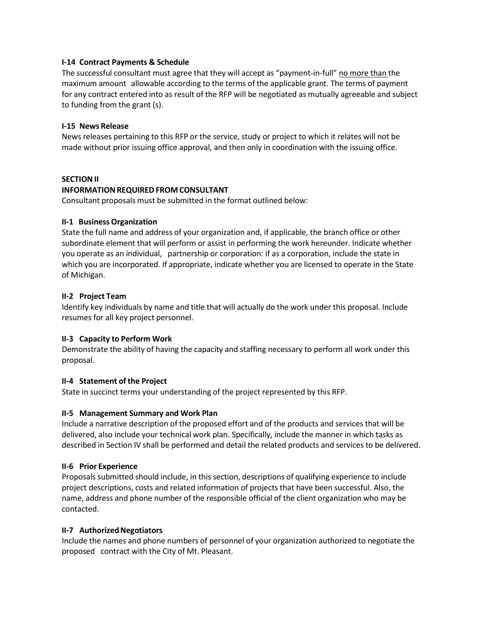#### **I-14 Contract Payments & Schedule**

The successful consultant must agree that they will accept as "payment-in-full" no more than the maximum amount allowable according to the terms of the applicable grant. The terms of payment for any contract entered into as result of the RFP will be negotiated as mutually agreeable and subject to funding from the grant (s).

## **I-15 News Release**

News releases pertaining to this RFP or the service, study or project to which it relates will not be made without prior issuing office approval, and then only in coordination with the issuing office.

#### **SECTION II**

#### **INFORMATION REQUIRED FROM CONSULTANT**

Consultant proposals must be submitted in the format outlined below:

## **II-1 Business Organization**

State the full name and address of your organization and, if applicable, the branch office or other subordinate element that will perform or assist in performing the work hereunder. Indicate whether you operate as an individual, partnership or corporation: if as a corporation, include the state in which you are incorporated. If appropriate, indicate whether you are licensed to operate in the State of Michigan.

#### **II-2 Project Team**

Identify key individuals by name and title that will actually do the work under this proposal. Include resumes for all key project personnel.

## **II-3 Capacity to Perform Work**

Demonstrate the ability of having the capacity and staffing necessary to perform all work under this proposal.

## **II-4 Statement of the Project**

State in succinct terms your understanding of the project represented by this RFP.

## **II-5 Management Summary and Work Plan**

Include a narrative description of the proposed effort and of the products and services that will be delivered, also include your technical work plan. Specifically, include the manner in which tasks as described in Section IV shall be performed and detail the related products and servicesto be delivered.

#### **II-6 Prior Experience**

Proposals submitted should include, in thissection, descriptions of qualifying experience to include project descriptions, costs and related information of projects that have been successful. Also, the name, address and phone number of the responsible official of the client organization who may be contacted.

#### **II-7 AuthorizedNegotiators**

Include the names and phone numbers of personnel of your organization authorized to negotiate the proposed contract with the City of Mt. Pleasant.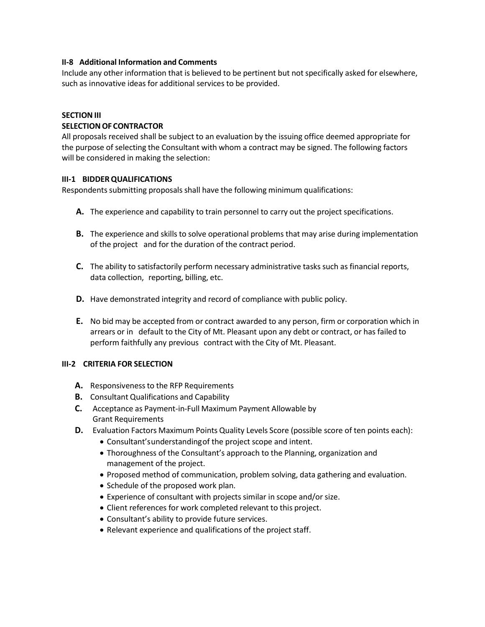#### **II-8 Additional Information and Comments**

Include any other information that is believed to be pertinent but not specifically asked for elsewhere, such as innovative ideas for additional services to be provided.

#### **SECTION III**

#### **SELECTION OF CONTRACTOR**

All proposals received shall be subject to an evaluation by the issuing office deemed appropriate for the purpose of selecting the Consultant with whom a contract may be signed. The following factors will be considered in making the selection:

#### **III-1 BIDDERQUALIFICATIONS**

Respondents submitting proposals shall have the following minimum qualifications:

- **A.** The experience and capability to train personnel to carry out the project specifications.
- **B.** The experience and skills to solve operational problems that may arise during implementation of the project and for the duration of the contract period.
- **C.** The ability to satisfactorily perform necessary administrative tasks such as financial reports, data collection, reporting, billing, etc.
- **D.** Have demonstrated integrity and record of compliance with public policy.
- **E.** No bid may be accepted from or contract awarded to any person, firm or corporation which in arrears or in default to the City of Mt. Pleasant upon any debt or contract, or has failed to perform faithfully any previous contract with the City of Mt. Pleasant.

## **III-2 CRITERIA FOR SELECTION**

- **A.** Responsivenessto the RFP Requirements
- **B.** Consultant Qualifications and Capability
- **C.** Acceptance as Payment-in-Full Maximum Payment Allowable by Grant Requirements
- **D.** Evaluation Factors Maximum Points Quality Levels Score (possible score of ten points each):
	- Consultant'sunderstandingof the project scope and intent.
	- Thoroughness of the Consultant's approach to the Planning, organization and management of the project.
	- Proposed method of communication, problem solving, data gathering and evaluation.
	- Schedule of the proposed work plan.
	- Experience of consultant with projects similar in scope and/or size.
	- Client references for work completed relevant to this project.
	- Consultant's ability to provide future services.
	- Relevant experience and qualifications of the project staff.